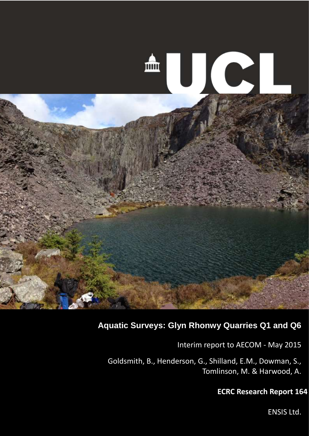

## **Aquatic Surveys: Glyn Rhonwy Quarries Q1 and Q6**

Interim report to AECOM - May 2015

Goldsmith, B., Henderson, G., Shilland, E.M., Dowman, S., Tomlinson, M. & Harwood, A.

### **ECRC Research Report 164**

1 ENSIS Ltd.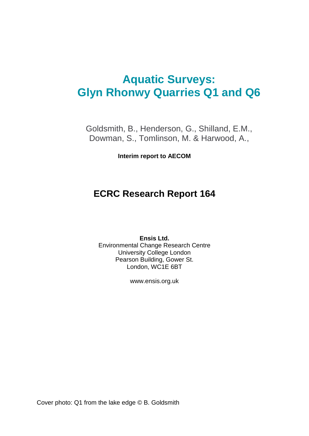# **Aquatic Surveys: Glyn Rhonwy Quarries Q1 and Q6**

Goldsmith, B., Henderson, G., Shilland, E.M., Dowman, S., Tomlinson, M. & Harwood, A.,

**Interim report to AECOM**

# **ECRC Research Report 164**

**Ensis Ltd.** Environmental Change Research Centre University College London Pearson Building, Gower St. London, WC1E 6BT

www.ensis.org.uk

Cover photo: Q1 from the lake edge © B. Goldsmith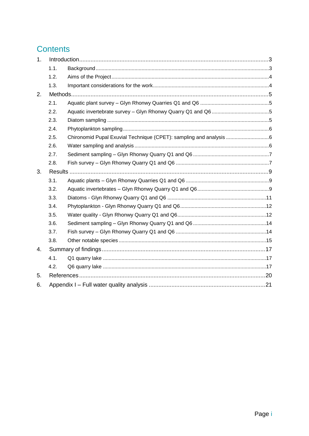# **Contents**

| 1. |      |                                                                    |  |
|----|------|--------------------------------------------------------------------|--|
|    | 1.1. |                                                                    |  |
|    | 1.2. |                                                                    |  |
|    | 1.3. |                                                                    |  |
| 2. |      |                                                                    |  |
|    | 2.1. |                                                                    |  |
|    | 2.2. |                                                                    |  |
|    | 2.3. |                                                                    |  |
|    | 2.4. |                                                                    |  |
|    | 2.5. | Chironomid Pupal Exuvial Technique (CPET): sampling and analysis 6 |  |
|    | 2.6. |                                                                    |  |
|    | 2.7. |                                                                    |  |
|    | 2.8. |                                                                    |  |
| 3. |      |                                                                    |  |
|    | 3.1. |                                                                    |  |
|    | 3.2. |                                                                    |  |
|    | 3.3. |                                                                    |  |
|    | 3.4. |                                                                    |  |
|    | 3.5. |                                                                    |  |
|    | 3.6. |                                                                    |  |
|    | 3.7. |                                                                    |  |
|    | 3.8. |                                                                    |  |
| 4. |      |                                                                    |  |
|    | 4.1. |                                                                    |  |
|    | 4.2. |                                                                    |  |
| 5. |      |                                                                    |  |
| 6. |      |                                                                    |  |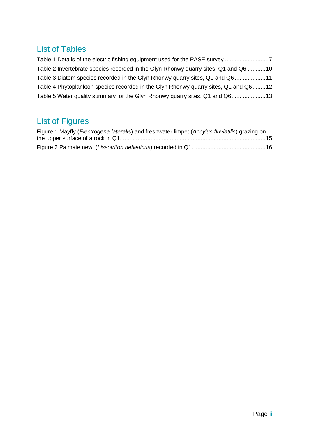## List of Tables

| Table 1 Details of the electric fishing equipment used for the PASE survey          |  |
|-------------------------------------------------------------------------------------|--|
| Table 2 Invertebrate species recorded in the Glyn Rhonwy quarry sites, Q1 and Q6 10 |  |
| Table 3 Diatom species recorded in the Glyn Rhonwy quarry sites, Q1 and Q611        |  |
| Table 4 Phytoplankton species recorded in the Glyn Rhonwy quarry sites, Q1 and Q612 |  |
| Table 5 Water quality summary for the Glyn Rhonwy quarry sites, Q1 and Q613         |  |

# List of Figures

| Figure 1 Mayfly (Electrogena lateralis) and freshwater limpet (Ancylus fluviatilis) grazing on |  |
|------------------------------------------------------------------------------------------------|--|
|                                                                                                |  |
|                                                                                                |  |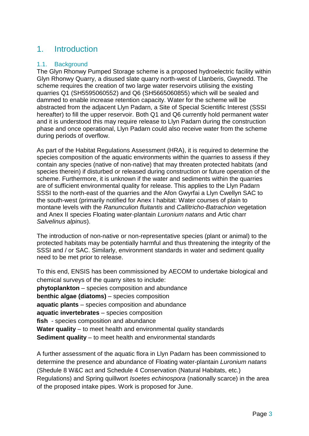## <span id="page-4-0"></span>1. Introduction

#### <span id="page-4-1"></span>1.1. Background

The Glyn Rhonwy Pumped Storage scheme is a proposed hydroelectric facility within Glyn Rhonwy Quarry, a disused slate quarry north-west of Llanberis, Gwynedd. The scheme requires the creation of two large water reservoirs utilising the existing quarries Q1 (SH5595060552) and Q6 (SH5665060855) which will be sealed and dammed to enable increase retention capacity. Water for the scheme will be abstracted from the adjacent Llyn Padarn, a Site of Special Scientific Interest (SSSI hereafter) to fill the upper reservoir. Both Q1 and Q6 currently hold permanent water and it is understood this may require release to Llyn Padarn during the construction phase and once operational, Llyn Padarn could also receive water from the scheme during periods of overflow.

As part of the Habitat Regulations Assessment (HRA), it is required to determine the species composition of the aquatic environments within the quarries to assess if they contain any species (native of non-native) that may threaten protected habitats (and species therein) if disturbed or released during construction or future operation of the scheme. Furthermore, it is unknown if the water and sediments within the quarries are of sufficient environmental quality for release. This applies to the Llyn Padarn SSSI to the north-east of the quarries and the Afon Gwyrfai a Llyn Cwellyn SAC to the south-west (primarily notified for Anex I habitat: Water courses of plain to montane levels with the *Ranunculion fluitantis* and *Callitricho-Batrachion* vegetation and Anex II species Floating water-plantain *Luronium natans* and Artic charr *Salvelinus alpinus*).

The introduction of non-native or non-representative species (plant or animal) to the protected habitats may be potentially harmful and thus threatening the integrity of the SSSI and / or SAC. Similarly, environment standards in water and sediment quality need to be met prior to release.

To this end, ENSIS has been commissioned by AECOM to undertake biological and chemical surveys of the quarry sites to include: **phytoplankton** – species composition and abundance **benthic algae (diatoms)** – species composition **aquatic plants** – species composition and abundance **aquatic invertebrates** – species composition **fish** - species composition and abundance **Water quality** – to meet health and environmental quality standards **Sediment quality** – to meet health and environmental standards

A further assessment of the aquatic flora in Llyn Padarn has been commissioned to determine the presence and abundance of Floating water-plantain *Luronium natans* (Shedule 8 W&C act and Schedule 4 Conservation (Natural Habitats, etc.) Regulations) and Spring quillwort *Isoetes echinospora* (nationally scarce) in the area of the proposed intake pipes. Work is proposed for June.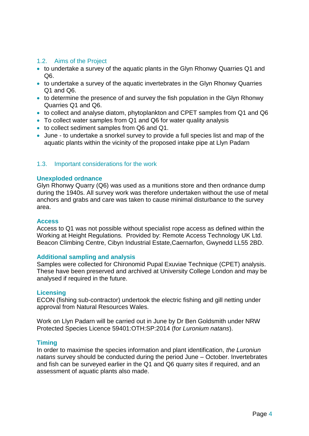#### <span id="page-5-0"></span>1.2. Aims of the Project

- to undertake a survey of the aquatic plants in the Glyn Rhonwy Quarries Q1 and Q6.
- to undertake a survey of the aquatic invertebrates in the Glyn Rhonwy Quarries Q1 and Q6.
- to determine the presence of and survey the fish population in the Glyn Rhonwy Quarries Q1 and Q6.
- to collect and analyse diatom, phytoplankton and CPET samples from Q1 and Q6
- To collect water samples from Q1 and Q6 for water quality analysis
- to collect sediment samples from Q6 and Q1.
- June to undertake a snorkel survey to provide a full species list and map of the aquatic plants within the vicinity of the proposed intake pipe at Llyn Padarn

#### <span id="page-5-1"></span>1.3. Important considerations for the work

#### **Unexploded ordnance**

Glyn Rhonwy Quarry (Q6) was used as a munitions store and then ordnance dump during the 1940s. All survey work was therefore undertaken without the use of metal anchors and grabs and care was taken to cause minimal disturbance to the survey area.

#### **Access**

Access to Q1 was not possible without specialist rope access as defined within the Working at Height Regulations. Provided by: Remote Access Technology UK Ltd. Beacon Climbing Centre, Cibyn Industrial Estate,Caernarfon, Gwynedd LL55 2BD.

#### **Additional sampling and analysis**

Samples were collected for Chironomid Pupal Exuviae Technique (CPET) analysis. These have been preserved and archived at University College London and may be analysed if required in the future.

#### **Licensing**

ECON (fishing sub-contractor) undertook the electric fishing and gill netting under approval from Natural Resources Wales.

Work on Llyn Padarn will be carried out in June by Dr Ben Goldsmith under NRW Protected Species Licence 59401:OTH:SP:2014 (for *Luronium natans*).

#### **Timing**

In order to maximise the species information and plant identification, *the Luroniun natans* survey should be conducted during the period June – October. Invertebrates and fish can be surveyed earlier in the Q1 and Q6 quarry sites if required, and an assessment of aquatic plants also made.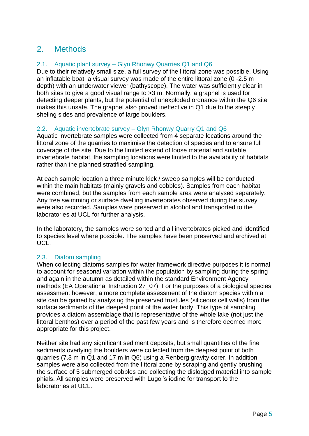## <span id="page-6-0"></span>2. Methods

#### <span id="page-6-1"></span>2.1. Aquatic plant survey – Glyn Rhonwy Quarries Q1 and Q6

Due to their relatively small size, a full survey of the littoral zone was possible. Using an inflatable boat, a visual survey was made of the entire littoral zone (0 -2.5 m depth) with an underwater viewer (bathyscope). The water was sufficiently clear in both sites to give a good visual range to >3 m. Normally, a grapnel is used for detecting deeper plants, but the potential of unexploded ordnance within the Q6 site makes this unsafe. The grapnel also proved ineffective in Q1 due to the steeply sheling sides and prevalence of large boulders.

#### <span id="page-6-2"></span>2.2. Aquatic invertebrate survey – Glyn Rhonwy Quarry Q1 and Q6

Aquatic invertebrate samples were collected from 4 separate locations around the littoral zone of the quarries to maximise the detection of species and to ensure full coverage of the site. Due to the limited extend of loose material and suitable invertebrate habitat, the sampling locations were limited to the availability of habitats rather than the planned stratified sampling.

At each sample location a three minute kick / sweep samples will be conducted within the main habitats (mainly gravels and cobbles). Samples from each habitat were combined, but the samples from each sample area were analysed separately. Any free swimming or surface dwelling invertebrates observed during the survey were also recorded. Samples were preserved in alcohol and transported to the laboratories at UCL for further analysis.

In the laboratory, the samples were sorted and all invertebrates picked and identified to species level where possible. The samples have been preserved and archived at UCL.

#### <span id="page-6-3"></span>2.3. Diatom sampling

When collecting diatoms samples for water framework directive purposes it is normal to account for seasonal variation within the population by sampling during the spring and again in the autumn as detailed within the standard Environment Agency methods (EA Operational Instruction 27\_07). For the purposes of a biological species assessment however, a more complete assessment of the diatom species within a site can be gained by analysing the preserved frustules (siliceous cell walls) from the surface sediments of the deepest point of the water body. This type of sampling provides a diatom assemblage that is representative of the whole lake (not just the littoral benthos) over a period of the past few years and is therefore deemed more appropriate for this project.

Neither site had any significant sediment deposits, but small quantities of the fine sediments overlying the boulders were collected from the deepest point of both quarries (7.3 m in Q1 and 17 m in Q6) using a Renberg gravity corer. In addition samples were also collected from the littoral zone by scraping and gently brushing the surface of 5 submerged cobbles and collecting the dislodged material into sample phials. All samples were preserved with Lugol's iodine for transport to the laboratories at UCL.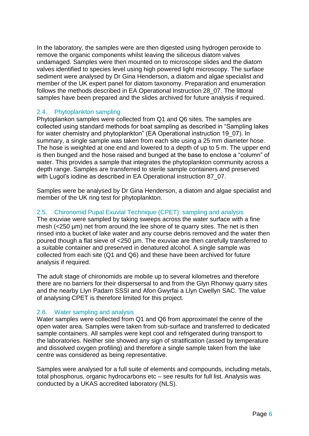In the laboratory, the samples were are then digested using hydrogen peroxide to remove the organic components whilst leaving the siliceous diatom valves undamaged. Samples were then mounted on to microscope slides and the diatom valves identified to species level using high powered light microscopy. The surface sediment were analysed by Dr Gina Henderson, a diatom and algae specialist and member of the UK expert panel for diatom taxonomy. Preparation and enumeration follows the methods described in EA Operational Instruction 28\_07. The littoral samples have been prepared and the slides archived for future analysis if required.

#### <span id="page-7-0"></span>2.4. Phytoplankton sampling

Phytoplankon samples were collected from Q1 and Q6 sites. The samples are collected using standard methods for boat sampling as described in "Sampling lakes for water chemistry and phytoplankton" (EA Operational instruction 19\_07). In summary, a single sample was taken from each site using a 25 mm diameter hose. The hose is weighted at one end and lowered to a depth of up to 5 m. The upper end is then bunged and the hose raised and bunged at the base to enclose a "column" of water. This provides a sample that integrates the phytoplankton community across a depth range. Samples are transferred to sterile sample containers and preserved with Lugol's iodine as described in EA Operational instruction 87 07.

Samples were be analysed by Dr Gina Henderson, a diatom and algae specialist and member of the UK ring test for phytoplankton.

#### <span id="page-7-1"></span>2.5. Chironomid Pupal Exuvial Technique (CPET): sampling and analysis

The exuviae were sampled by taking sweeps across the water surface with a fine mesh (<250 µm) net from around the lee shore of te quarry sites. The net is then rinsed into a bucket of lake water and any course debris removed and the water then poured though a flat sieve of <250 µm. The exuviae are then carefully transferred to a suitable container and preserved in denatured alcohol. A single sample was collected from each site (Q1 and Q6) and these have been archived for future analysis if required.

The adult stage of chironomids are mobile up to several kilometres and therefore there are no barriers for their dispersersal to and from the Glyn Rhonwy quarry sites and the nearby Llyn Padarn SSSI and Afon Gwyrfai a Llyn Cwellyn SAC. The value of analysing CPET is therefore limited for this project.

#### <span id="page-7-2"></span>2.6. Water sampling and analysis

Water samples were collected from Q1 and Q6 from approximatel the cenre of the open water area. Samples were taken from sub-surface and transferred to dedicated sample containers. All samples were kept cool and refrigerated during transport to the laboratories. Neither site showed any sign of stratification (assed by temperature and dissolved oxygen profiling) and therefore a single sample taken from the lake centre was considered as being representative.

Samples were analysed for a full suite of elements and compounds, including metals, total phosphorus, organic hydrocarbons etc – see results for full list. Analysis was conducted by a UKAS accredited laboratory (NLS).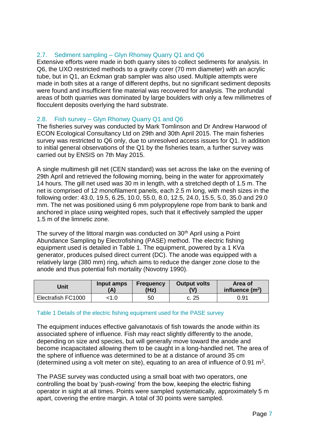#### <span id="page-8-0"></span>2.7. Sediment sampling – Glyn Rhonwy Quarry Q1 and Q6

Extensive efforts were made in both quarry sites to collect sediments for analysis. In Q6, the UXO restricted methods to a gravity corer (70 mm diameter) with an acrylic tube, but in Q1, an Eckman grab sampler was also used. Multiple attempts were made in both sites at a range of different depths, but no significant sediment deposits were found and insufficient fine material was recovered for analysis. The profundal areas of both quarries was dominated by large boulders with only a few millimetres of flocculent deposits overlying the hard substrate.

#### <span id="page-8-1"></span>2.8. Fish survey – Glyn Rhonwy Quarry Q1 and Q6

The fisheries survey was conducted by Mark Tomlinson and Dr Andrew Harwood of ECON Ecological Consultancy Ltd on 29th and 30th April 2015. The main fisheries survey was restricted to Q6 only, due to unresolved access issues for Q1. In addition to initial general observations of the Q1 by the fisheries team, a further survey was carried out by ENSIS on 7th May 2015.

A single multimesh gill net (CEN standard) was set across the lake on the evening of 29th April and retrieved the following morning, being in the water for approximately 14 hours. The gill net used was 30 m in length, with a stretched depth of 1.5 m. The net is comprised of 12 monofilament panels, each 2.5 m long, with mesh sizes in the following order: 43.0, 19.5, 6.25, 10.0, 55.0, 8.0, 12.5, 24.0, 15.5, 5.0, 35.0 and 29.0 mm. The net was positioned using 6 mm polypropylene rope from bank to bank and anchored in place using weighted ropes, such that it effectively sampled the upper 1.5 m of the limnetic zone.

The survey of the littoral margin was conducted on 30<sup>th</sup> April using a Point Abundance Sampling by Electrofishing (PASE) method. The electric fishing equipment used is detailed in [Table 1.](#page-8-2) The equipment, powered by a 1 KVa generator, produces pulsed direct current (DC). The anode was equipped with a relatively large (380 mm) ring, which aims to reduce the danger zone close to the anode and thus potential fish mortality (Novotny 1990).

| Unit               | Input amps | <b>Frequency</b><br>(Hz) | Output volts<br>(V) | Area of<br>influence $(m2)$ |
|--------------------|------------|--------------------------|---------------------|-----------------------------|
| Electrafish FC1000 |            | 50                       | c. 25               | 0.91                        |

#### <span id="page-8-2"></span>Table 1 Details of the electric fishing equipment used for the PASE survey

The equipment induces effective galvanotaxis of fish towards the anode within its associated sphere of influence. Fish may react slightly differently to the anode, depending on size and species, but will generally move toward the anode and become incapacitated allowing them to be caught in a long-handled net. The area of the sphere of influence was determined to be at a distance of around 35 cm (determined using a volt meter on site), equating to an area of influence of 0.91  $m<sup>2</sup>$ .

The PASE survey was conducted using a small boat with two operators, one controlling the boat by 'push-rowing' from the bow, keeping the electric fishing operator in sight at all times. Points were sampled systematically, approximately 5 m apart, covering the entire margin. A total of 30 points were sampled.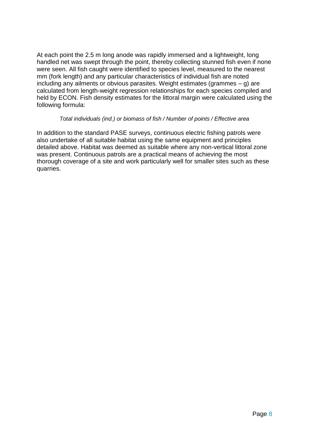At each point the 2.5 m long anode was rapidly immersed and a lightweight, long handled net was swept through the point, thereby collecting stunned fish even if none were seen. All fish caught were identified to species level, measured to the nearest mm (fork length) and any particular characteristics of individual fish are noted including any ailments or obvious parasites. Weight estimates (grammes – g) are calculated from length-weight regression relationships for each species compiled and held by ECON. Fish density estimates for the littoral margin were calculated using the following formula:

#### *Total individuals (ind.) or biomass of fish / Number of points / Effective area*

In addition to the standard PASE surveys, continuous electric fishing patrols were also undertake of all suitable habitat using the same equipment and principles detailed above. Habitat was deemed as suitable where any non-vertical littoral zone was present. Continuous patrols are a practical means of achieving the most thorough coverage of a site and work particularly well for smaller sites such as these quarries.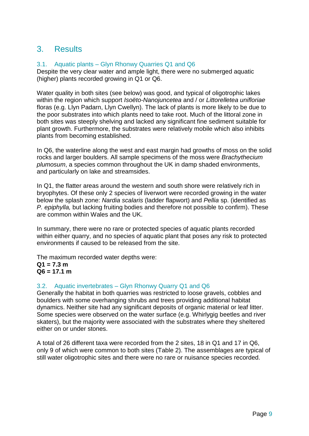### <span id="page-10-0"></span>3. Results

#### <span id="page-10-1"></span>3.1. Aquatic plants – Glyn Rhonwy Quarries Q1 and Q6

Despite the very clear water and ample light, there were no submerged aquatic (higher) plants recorded growing in Q1 or Q6.

Water quality in both sites (see below) was good, and typical of oligotrophic lakes within the region which support *Isoëto-Nanojuncetea* and / or *Littorelletea unifloriae*  floras (e.g. Llyn Padarn, Llyn Cwellyn). The lack of plants is more likely to be due to the poor substrates into which plants need to take root. Much of the littoral zone in both sites was steeply shelving and lacked any significant fine sediment suitable for plant growth. Furthermore, the substrates were relatively mobile which also inhibits plants from becoming established.

In Q6, the waterline along the west and east margin had growths of moss on the solid rocks and larger boulders. All sample specimens of the moss were *Brachythecium plumosum*, a species common throughout the UK in damp shaded environments, and particularly on lake and streamsides.

In Q1, the flatter areas around the western and south shore were relatively rich in bryophytes. Of these only 2 species of liverwort were recorded growing in the water below the splash zone: *Nardia scalaris* (ladder flapwort) and *Pellia* sp. (identified as *P. epiphylla,* but lacking fruiting bodies and therefore not possible to confirm). These are common within Wales and the UK.

In summary, there were no rare or protected species of aquatic plants recorded within either quarry, and no species of aquatic plant that poses any risk to protected environments if caused to be released from the site.

The maximum recorded water depths were: **Q1 = 7.3 m Q6 = 17.1 m**

#### <span id="page-10-2"></span>3.2. Aquatic invertebrates – Glyn Rhonwy Quarry Q1 and Q6

Generally the habitat in both quarries was restricted to loose gravels, cobbles and boulders with some overhanging shrubs and trees providing additional habitat dynamics. Neither site had any significant deposits of organic material or leaf litter. Some species were observed on the water surface (e.g. Whirlygig beetles and river skaters), but the majority were associated with the substrates where they sheltered either on or under stones.

A total of 26 different taxa were recorded from the 2 sites, 18 in Q1 and 17 in Q6, only 9 of which were common to both sites [\(Table 2\)](#page-11-0). The assemblages are typical of still water oligotrophic sites and there were no rare or nuisance species recorded.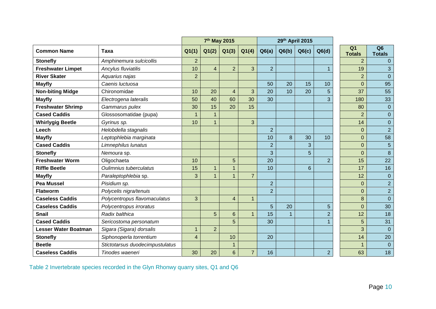|                          |                                 | 7 <sup>th</sup> May 2015 |                | 29th April 2015 |                |                |       |                |                |                                 |                                 |
|--------------------------|---------------------------------|--------------------------|----------------|-----------------|----------------|----------------|-------|----------------|----------------|---------------------------------|---------------------------------|
| <b>Common Name</b>       | Taxa                            | Q1(1)                    | Q1(2)          | Q1(3)           | Q1(4)          | Q6(a)          | Q6(b) | Q6(c)          | Q6(d)          | Q <sub>1</sub><br><b>Totals</b> | Q <sub>6</sub><br><b>Totals</b> |
| <b>Stonefly</b>          | Amphinemura sulcicollis         | $\overline{2}$           |                |                 |                |                |       |                |                | $\overline{2}$                  |                                 |
| <b>Freshwater Limpet</b> | Ancylus fluviatilis             | 10                       | $\overline{4}$ | $\overline{2}$  | 3              | $\overline{2}$ |       |                | $\mathbf{1}$   | 19                              | 3                               |
| <b>River Skater</b>      | Aquarius najas                  | $\overline{2}$           |                |                 |                |                |       |                |                | $\overline{2}$                  | $\Omega$                        |
| <b>Mayfly</b>            | Caenis luctuosa                 |                          |                |                 |                | 50             | 20    | 15             | 10             | $\overline{0}$                  | 95                              |
| <b>Non-biting Midge</b>  | Chironomidae                    | 10                       | 20             | $\overline{4}$  | 3              | 20             | 10    | 20             | 5              | 37                              | 55                              |
| <b>Mayfly</b>            | Electrogena lateralis           | 50                       | 40             | 60              | 30             | 30             |       |                | 3              | 180                             | 33                              |
| <b>Freshwater Shrimp</b> | Gammarus pulex                  | 30                       | 15             | 20              | 15             |                |       |                |                | 80                              | $\overline{0}$                  |
| <b>Cased Caddis</b>      | Glossosomatidae (pupa)          | 1                        |                |                 |                |                |       |                |                | $\overline{2}$                  | $\overline{0}$                  |
| <b>Whirlygig Beetle</b>  | Gyrinus sp.                     | 10                       | $\mathbf{1}$   |                 | 3              |                |       |                |                | 14                              | $\overline{0}$                  |
| Leech                    | Helobdella stagnalis            |                          |                |                 |                | $\overline{2}$ |       |                |                | 0                               | $\overline{2}$                  |
| <b>Mayfly</b>            | Leptophlebia marginata          |                          |                |                 |                | 10             | 8     | 30             | 10             | 0                               | 58                              |
| <b>Cased Caddis</b>      | Limnephilus lunatus             |                          |                |                 |                | $\overline{2}$ |       | 3              |                | 0                               | 5                               |
| <b>Stonefly</b>          | Nemoura sp.                     |                          |                |                 |                | 3              |       | 5              |                | 0                               | $\bf{8}$                        |
| <b>Freshwater Worm</b>   | Oligochaeta                     | 10                       |                | 5               |                | 20             |       |                | $\overline{2}$ | 15                              | 22                              |
| <b>Riffle Beetle</b>     | Oulimnius tuberculatus          | 15                       | $\mathbf 1$    | $\mathbf 1$     |                | 10             |       | $6\phantom{1}$ |                | 17                              | 16                              |
| <b>Mayfly</b>            | Paraleptophlebia sp.            | 3                        | $\overline{1}$ | $\mathbf{1}$    | $\overline{7}$ |                |       |                |                | 12                              | $\overline{0}$                  |
| Pea Mussel               | Pisidium sp.                    |                          |                |                 |                | $\overline{2}$ |       |                |                | 0                               | $\overline{2}$                  |
| <b>Flatworm</b>          | Polycelis nigra/tenuis          |                          |                |                 |                | $\overline{2}$ |       |                |                | 0                               | $\overline{2}$                  |
| <b>Caseless Caddis</b>   | Polycentropus flavomaculatus    | 3                        |                | 4               | $\overline{1}$ |                |       |                |                | 8                               | $\overline{0}$                  |
| <b>Caseless Caddis</b>   | Polycentropus irroratus         |                          |                |                 |                | 5              | 20    |                | 5              | 0                               | 30                              |
| <b>Snail</b>             | Radix balthica                  |                          | 5              | 6               | $\mathbf{1}$   | 15             |       |                | $\overline{2}$ | 12                              | 18                              |
| <b>Cased Caddis</b>      | Sericostoma personatum          |                          |                | 5               |                | 30             |       |                |                | 5                               | 31                              |
| Lesser Water Boatman     | Sigara (Sigara) dorsalis        | $\mathbf 1$              | $\overline{2}$ |                 |                |                |       |                |                | 3                               | $\Omega$                        |
| <b>Stonefly</b>          | Siphonoperla torrentium         | $\overline{\mathbf{4}}$  |                | 10              |                | 20             |       |                |                | 14                              | 20                              |
| <b>Beetle</b>            | Stictotarsus duodecimpustulatus |                          |                | $\mathbf 1$     |                |                |       |                |                | 1                               | $\overline{0}$                  |
| <b>Caseless Caddis</b>   | Tinodes waeneri                 | 30                       | 20             | 6               | $\overline{7}$ | 16             |       |                | $\overline{2}$ | 63                              | 18                              |

<span id="page-11-0"></span>Table 2 Invertebrate species recorded in the Glyn Rhonwy quarry sites, Q1 and Q6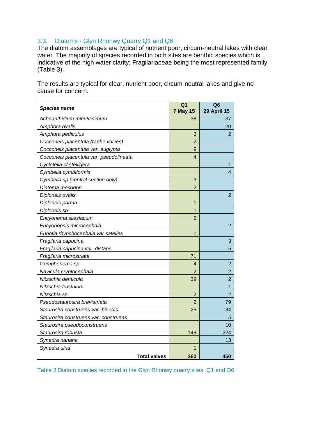#### <span id="page-12-0"></span>3.3. Diatoms - Glyn Rhonwy Quarry Q1 and Q6

The diatom assemblages are typical of nutrient poor, circum-neutral lakes with clear water. The majority of species recorded in both sites are benthic species which is indicative of the high water clarity; Fragilariaceae being the most represented family [\(Table 3\)](#page-12-1).

The results are typical for clear, nutrient poor, circum-neutral lakes and give no cause for concern.

| <b>Species name</b>                     | Q <sub>1</sub><br><b>7 May 15</b> | Q <sub>6</sub><br><b>29 April 15</b> |
|-----------------------------------------|-----------------------------------|--------------------------------------|
| Achnanthidium minutissimum              | 38                                | 37                                   |
| Amphora ovalis                          |                                   | 20                                   |
| Amphora pediculus                       | 3                                 | 2                                    |
| Cocconeis placentula (raphe valves)     | 2                                 |                                      |
| Cocconeis placentula var. euglypta      | 9                                 |                                      |
| Cocconeis placentula var. pseudolineata | $\overline{4}$                    |                                      |
| Cyclotella cf stelligera                |                                   | 1                                    |
| Cymbella cymbiformis                    |                                   | 4                                    |
| Cymbella sp (central section only)      | 3                                 |                                      |
| Diatoma mesodon                         | $\overline{2}$                    |                                      |
| Diploneis ovalis                        |                                   | $\overline{2}$                       |
| Diploneis parma                         | 1                                 |                                      |
| Diploneis sp                            | $\mathbf{1}$                      |                                      |
| Encyonema silesiacum                    | $\overline{2}$                    |                                      |
| Encyonopsis microcephala                |                                   | $\overline{2}$                       |
| Eunotia rhynchocephala var satelles     | 1                                 |                                      |
| Fragilaria capucina                     |                                   | 3                                    |
| Fragilaria capucina var. distans        |                                   | 5                                    |
| Fragilaria microstriata                 | 71                                |                                      |
| Gomphonema sp.                          | 4                                 | $\overline{2}$                       |
| Navicula cryptocephala                  | 2                                 | $\overline{2}$                       |
| Nitzschia denticula                     | 39                                | $\overline{2}$                       |
| Nitzschia frustulum                     |                                   | 1                                    |
| Nitzschia sp.                           | $\overline{2}$                    | $\overline{2}$                       |
| Pseudostaurosira brevistriata           | $\overline{2}$                    | 79                                   |
| Staurosira construens var. binodis      | 25                                | 34                                   |
| Staurosira construens var. construens   |                                   | 5                                    |
| Staurosira pseudoconstruens             |                                   | 10                                   |
| Staurosira robusta                      | 148                               | 224                                  |
| Synedra nanana                          |                                   | 13                                   |
| Synedra ulna                            | 1                                 |                                      |
| <b>Total valves</b>                     | 360                               | 450                                  |

<span id="page-12-1"></span>Table 3 Diatom species recorded in the Glyn Rhonwy quarry sites, Q1 and Q6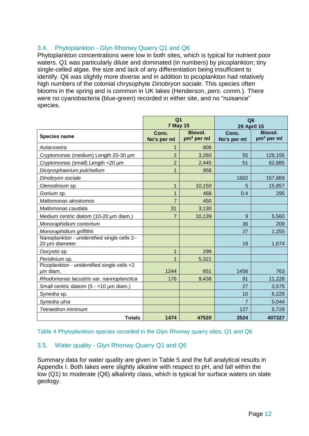#### <span id="page-13-0"></span>3.4. Phytoplankton - Glyn Rhonwy Quarry Q1 and Q6

Phytoplankton concentrations were low in both sites, which is typical for nutrient poor waters. Q1 was particularly dilute and dominated (in numbers) by picoplankton; tiny single-celled algae, the size and lack of any differentiation being insufficient to identify. Q6 was slightly more diverse and in addition to picoplankton had relatively high numbers of the colonial chrysophyte *Dinobryon sociale*. This species often blooms in the spring and is common in UK lakes (Henderson, *pers. comm.*). There were no cyanobacteria (blue-green) recorded in either site, and no "nuisance" species.

|                                                               | Q <sub>1</sub><br><b>7 May 15</b> |                                        | Q <sub>6</sub><br><b>29 April 15</b> |                         |
|---------------------------------------------------------------|-----------------------------------|----------------------------------------|--------------------------------------|-------------------------|
| <b>Species name</b>                                           | Conc.<br>No's per ml              | Biovol.<br>$\mu$ m <sup>3</sup> per ml | Conc.<br>No's per ml                 | Biovol.<br>$µm3$ per ml |
| Aulacoseira                                                   | 1                                 | 808                                    |                                      |                         |
| Cryptomonas (medium) Length 20-30 µm                          | $\overline{2}$                    | 3,260                                  | 55                                   | 129,155                 |
| Cryptomonas (small) Length <20 µm                             | $\overline{2}$                    | 2,445                                  | 51                                   | 62,885                  |
| Dictyosphaerium pulchellum                                    | 1                                 | 958                                    |                                      |                         |
| Dinobryon sociale                                             |                                   |                                        | 1602                                 | 157,869                 |
| Glenodinium sp.                                               | 1                                 | 10,150                                 | 5                                    | 15,857                  |
| Gonium sp.                                                    | 1                                 | 468                                    | 0.4                                  | 295                     |
| Mallomonas akrokomos                                          | $\overline{7}$                    | 450                                    |                                      |                         |
| Mallomonas caudata                                            | 31                                | 3,130                                  |                                      |                         |
| Medium centric diatom (10-20 µm diam.)                        | $\overline{7}$                    | 10,139                                 | 9                                    | 5,560                   |
| Monoraphidium contortum                                       |                                   |                                        | 36                                   | 209                     |
| Monoraphidium griffithii                                      |                                   |                                        | 27                                   | 1,255                   |
| Nanoplankton - unidentified single cells 2-<br>20 µm diameter |                                   |                                        | 18                                   | 1,674                   |
| Oocystis sp.                                                  | 1                                 | 299                                    |                                      |                         |
| Peridinium sp.                                                | 1                                 | 5,321                                  |                                      |                         |
| Picoplankton - unidentified single cells <2<br>um diam.       | 1244                              | 651                                    | 1456                                 | 763                     |
| Rhodomonas lacustris var. nannoplanctica                      | 176                               | 9,438                                  | 91                                   | 11,228                  |
| Small centric diatom (5 - <10 µm diam.)                       |                                   |                                        | 27                                   | 3,575                   |
| Synedra sp.                                                   |                                   |                                        | 10                                   | 6,229                   |
| Synedra ulna                                                  |                                   |                                        | 7                                    | 5,044                   |
| Tetraedron minimum                                            |                                   |                                        | 127                                  | 5,729                   |
| <b>Totals</b>                                                 | 1474                              | 47520                                  | 3524                                 | 407327                  |

<span id="page-13-2"></span>Table 4 Phytoplankton species recorded in the Glyn Rhonwy quarry sites, Q1 and Q6

#### <span id="page-13-1"></span>3.5. Water quality - Glyn Rhonwy Quarry Q1 and Q6

Summary data for water quality are given in [Table 5](#page-14-0) and the full analytical results in Appendix I. Both lakes were slightly alkaline with respect to pH, and fall within the low (Q1) to moderate (Q6) alkalinity class, which is typical for surface waters on slate geology.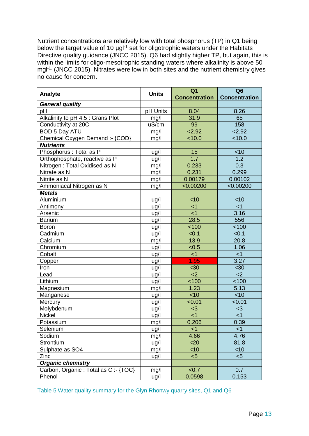Nutrient concentrations are relatively low with total phosphorus (TP) in Q1 being below the target value of 10 µgl<sup>-1</sup> set for oligotrophic waters under the Habitats Directive quality guidance (JNCC 2015). Qo had slightly higher TP, but again, this is within the limits for oligo-mesotrophic standing waters where alkalinity is above 50 mgl-1. (JNCC 2015). Nitrates were low in both sites and the nutrient chemistry gives no cause for concern.

| Analyte                             | <b>Units</b>       | Q <sub>1</sub><br><b>Concentration</b> | Q <sub>6</sub><br><b>Concentration</b> |
|-------------------------------------|--------------------|----------------------------------------|----------------------------------------|
| <b>General quality</b>              |                    |                                        |                                        |
| pH                                  | pH Units           | 8.04                                   | 8.26                                   |
| Alkalinity to pH 4.5 : Grans Plot   | mg/l               | 31.9                                   | 65                                     |
| Conductivity at 20C                 | uS/cm              | 99                                     | 158                                    |
| <b>BOD 5 Day ATU</b>                | mg/l               | 2.92                                   | 2.92                                   |
| Chemical Oxygen Demand :- {COD}     | mg/l               | 10.0                                   | 10.0                                   |
| <b>Nutrients</b>                    |                    |                                        |                                        |
| Phosphorus : Total as P             | ug/l               | 15                                     | $<$ 10                                 |
| Orthophosphate, reactive as P       | ug/l               | 1.7                                    | 1.2                                    |
| Nitrogen: Total Oxidised as N       | mg/l               | 0.233                                  | 0.3                                    |
| Nitrate as N                        | mg/l               | 0.231                                  | 0.299                                  |
| Nitrite as N                        | mg/l               | 0.00179                                | 0.00102                                |
| Ammoniacal Nitrogen as N            | mg/l               | < 0.00200                              | < 0.00200                              |
| <b>Metals</b>                       |                    |                                        |                                        |
| Aluminium                           | ug/l               | < 10                                   | $<$ 10                                 |
| Antimony                            | ug/l               | $<$ 1                                  | $<$ 1                                  |
| Arsenic                             | ug/l               | $<$ 1                                  | 3.16                                   |
| <b>Barium</b>                       | ug/l               | 28.5                                   | 556                                    |
| <b>Boron</b>                        | ug/l               | 100                                    | < 100                                  |
| Cadmium                             | ug/l               | < 0.1                                  | < 0.1                                  |
| Calcium                             | mg/l               | 13.9                                   | 20.8                                   |
| Chromium                            | ug/l               | < 0.5                                  | 1.06                                   |
| Cobalt                              | ug/l               | $\leq$ 1                               | <1                                     |
| Copper                              | ug/l               | 1.95                                   | 3.27                                   |
| Iron                                | ug/l               | <30                                    | <30                                    |
| Lead                                | ug/l               | $2$                                    | $<$ 2                                  |
| Lithium                             | ug/l               | 100                                    | 100                                    |
| Magnesium                           | mg/l               | 1.23                                   | 5.13                                   |
| Manganese                           | ug/l               | <10                                    | $<$ 10                                 |
| Mercury                             | $\overline{u}$ g/l | < 0.01                                 | < 0.01                                 |
| Molybdenum                          | ug/l               | $3$                                    | $3$                                    |
| Nickel                              | ug/l               | $<$ 1                                  | $\leq$ 1                               |
| Potassium                           | mg/l               | 0.206                                  | 0.39                                   |
| Selenium                            | ug/l               | $<$ 1                                  | $<$ 1                                  |
| Sodium                              | mg/l               | 4.66                                   | 4.76                                   |
| Strontium                           | ug/l               | $20$                                   | 81.8                                   |
| Sulphate as SO4                     | mg/l               | <10                                    | <10                                    |
| Zinc                                | ug/l               | < 5                                    | < 5                                    |
| <b>Organic chemistry</b>            |                    |                                        |                                        |
| Carbon, Organic: Total as C: -{TOC} | mg/l               | < 0.7                                  | 0.7                                    |
| Phenol                              | ug/l               | 0.0598                                 | 0.153                                  |

<span id="page-14-0"></span>Table 5 Water quality summary for the Glyn Rhonwy quarry sites, Q1 and Q6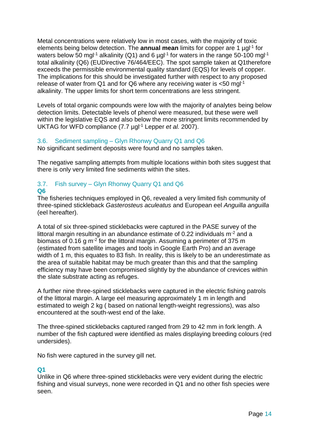Metal concentrations were relatively low in most cases, with the majority of toxic elements being below detection. The **annual mean** limits for copper are 1 µgl<sup>-1</sup> for waters below 50 mgl<sup>-1</sup> alkalinity (Q1) and 6  $\mu$ gl<sup>-1</sup> for waters in the range 50-100 mgl<sup>-1</sup> total alkalinity (Q6) (EUDirective 76/464/EEC). The spot sample taken at Q1therefore exceeds the permissible environmental quality standard (EQS) for levels of copper. The implications for this should be investigated further with respect to any proposed release of water from Q1 and for Q6 where any receiving water is <50 mgl-1 alkalinity. The upper limits for short term concentrations are less stringent.

Levels of total organic compounds were low with the majority of analytes being below detection limits. Detectable levels of phenol were measured, but these were well within the legislative EQS and also below the more stringent limits recommended by UKTAG for WFD compliance (7.7 µgl-1 Lepper *et al.* 2007).

#### <span id="page-15-0"></span>3.6. Sediment sampling – Glyn Rhonwy Quarry Q1 and Q6

No significant sediment deposits were found and no samples taken.

The negative sampling attempts from multiple locations within both sites suggest that there is only very limited fine sediments within the sites.

#### <span id="page-15-1"></span>3.7. Fish survey – Glyn Rhonwy Quarry Q1 and Q6 **Q6**

The fisheries techniques employed in Q6, revealed a very limited fish community of three-spined stickleback *Gasterosteus aculeatus* and European eel *Anguilla anguilla* (eel hereafter).

A total of six three-spined sticklebacks were captured in the PASE survey of the littoral margin resulting in an abundance estimate of 0.22 individuals  $m<sup>2</sup>$  and a biomass of 0.16 g m<sup>-2</sup> for the littoral margin. Assuming a perimeter of 375 m (estimated from satellite images and tools in Google Earth Pro) and an average width of 1 m, this equates to 83 fish. In reality, this is likely to be an underestimate as the area of suitable habitat may be much greater than this and that the sampling efficiency may have been compromised slightly by the abundance of crevices within the slate substrate acting as refuges.

A further nine three-spined sticklebacks were captured in the electric fishing patrols of the littoral margin. A large eel measuring approximately 1 m in length and estimated to weigh 2 kg ( based on national length-weight regressions), was also encountered at the south-west end of the lake.

The three-spined sticklebacks captured ranged from 29 to 42 mm in fork length. A number of the fish captured were identified as males displaying breeding colours (red undersides).

No fish were captured in the survey gill net.

#### **Q1**

Unlike in Q6 where three-spined sticklebacks were very evident during the electric fishing and visual surveys, none were recorded in Q1 and no other fish species were seen.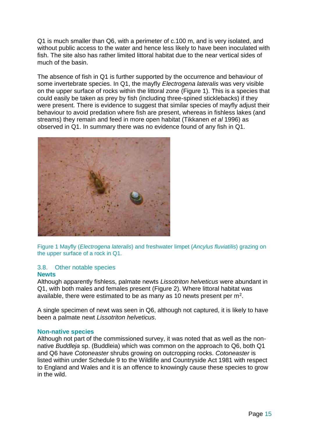Q1 is much smaller than Q6, with a perimeter of c.100 m, and is very isolated, and without public access to the water and hence less likely to have been inoculated with fish. The site also has rather limited littoral habitat due to the near vertical sides of much of the basin.

The absence of fish in Q1 is further supported by the occurrence and behaviour of some invertebrate species. In Q1, the mayfly *Electrogena lateralis* was very visible on the upper surface of rocks within the littoral zone [\(Figure 1\)](#page-16-1). This is a species that could easily be taken as prey by fish (including three-spined sticklebacks) if they were present. There is evidence to suggest that similar species of mayfly adjust their behaviour to avoid predation where fish are present, whereas in fishless lakes (and streams) they remain and feed in more open habitat (Tikkanen *et al* 1996) as observed in Q1. In summary there was no evidence found of any fish in Q1.



<span id="page-16-1"></span>Figure 1 Mayfly (*Electrogena lateralis*) and freshwater limpet (*Ancylus fluviatilis*) grazing on the upper surface of a rock in Q1.

### <span id="page-16-0"></span>3.8. Other notable species

#### **Newts**

Although apparently fishless, palmate newts *Lissotriton helveticus* were abundant in Q1, with both males and females present [\(Figure 2\)](#page-17-0). Where littoral habitat was available, there were estimated to be as many as 10 newts present per  $m^2$ .

A single specimen of newt was seen in Q6, although not captured, it is likely to have been a palmate newt *Lissotriton helveticus*.

#### **Non-native species**

Although not part of the commissioned survey, it was noted that as well as the nonnative *Buddleja* sp. (Buddleia) which was common on the approach to Q6, both Q1 and Q6 have *Cotoneaster* shrubs growing on outcropping rocks. *Cotoneaster* is listed within under Schedule 9 to the Wildlife and Countryside Act 1981 with respect to England and Wales and it is an offence to knowingly cause these species to grow in the wild.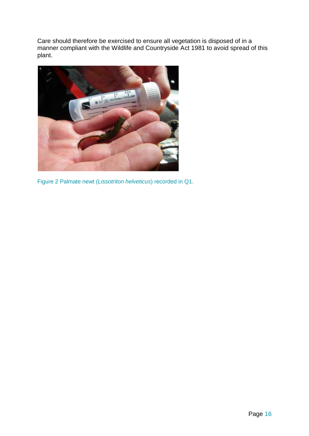Care should therefore be exercised to ensure all vegetation is disposed of in a manner compliant with the Wildlife and Countryside Act 1981 to avoid spread of this plant.

<span id="page-17-0"></span>

Figure 2 Palmate newt (*Lissotriton helveticus*) recorded in Q1.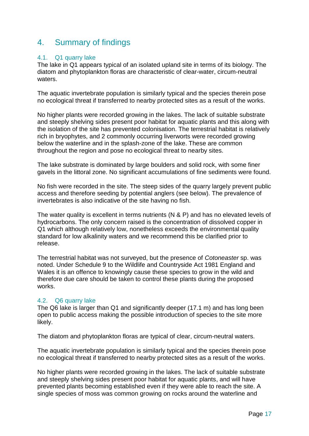## <span id="page-18-0"></span>4. Summary of findings

#### <span id="page-18-1"></span>4.1. Q1 quarry lake

The lake in Q1 appears typical of an isolated upland site in terms of its biology. The diatom and phytoplankton floras are characteristic of clear-water, circum-neutral waters.

The aquatic invertebrate population is similarly typical and the species therein pose no ecological threat if transferred to nearby protected sites as a result of the works.

No higher plants were recorded growing in the lakes. The lack of suitable substrate and steeply shelving sides present poor habitat for aquatic plants and this along with the isolation of the site has prevented colonisation. The terrestrial habitat is relatively rich in bryophytes, and 2 commonly occurring liverworts were recorded growing below the waterline and in the splash-zone of the lake. These are common throughout the region and pose no ecological threat to nearby sites.

The lake substrate is dominated by large boulders and solid rock, with some finer gavels in the littoral zone. No significant accumulations of fine sediments were found.

No fish were recorded in the site. The steep sides of the quarry largely prevent public access and therefore seeding by potential anglers (see below). The prevalence of invertebrates is also indicative of the site having no fish.

The water quality is excellent in terms nutrients (N & P) and has no elevated levels of hydrocarbons. The only concern raised is the concentration of dissolved copper in Q1 which although relatively low, nonetheless exceeds the environmental quality standard for low alkalinity waters and we recommend this be clarified prior to release.

The terrestrial habitat was not surveyed, but the presence of *Cotoneaster* sp. was noted. Under Schedule 9 to the Wildlife and Countryside Act 1981 England and Wales it is an offence to knowingly cause these species to grow in the wild and therefore due care should be taken to control these plants during the proposed works.

#### <span id="page-18-2"></span>4.2. Q6 quarry lake

The Q6 lake is larger than Q1 and significantly deeper (17.1 m) and has long been open to public access making the possible introduction of species to the site more likely.

The diatom and phytoplankton floras are typical of clear, circum-neutral waters.

The aquatic invertebrate population is similarly typical and the species therein pose no ecological threat if transferred to nearby protected sites as a result of the works.

No higher plants were recorded growing in the lakes. The lack of suitable substrate and steeply shelving sides present poor habitat for aquatic plants, and will have prevented plants becoming established even if they were able to reach the site. A single species of moss was common growing on rocks around the waterline and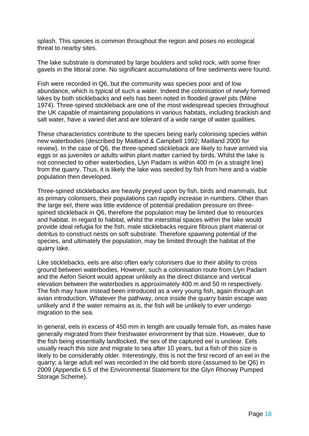splash. This species is common throughout the region and poses no ecological threat to nearby sites.

The lake substrate is dominated by large boulders and solid rock, with some finer gavels in the littoral zone. No significant accumulations of fine sediments were found.

Fish were recorded in Q6, but the community was species poor and of low abundance, which is typical of such a water. Indeed the colonisation of newly formed lakes by both sticklebacks and eels has been noted in flooded gravel pits (Milne 1974). Three-spined stickleback are one of the most widespread species throughout the UK capable of maintaining populations in various habitats, including brackish and salt water, have a varied diet and are tolerant of a wide range of water qualities.

These characteristics contribute to the species being early colonising species within new waterbodies (described by Maitland & Campbell 1992; Maitland 2000 for review). In the case of Q6, the three-spined stickleback are likely to have arrived via eggs or as juveniles or adults within plant matter carried by birds. Whilst the lake is not connected to other waterbodies, Llyn Padarn is within 400 m (in a straight line) from the quarry. Thus, it is likely the lake was seeded by fish from here and a viable population then developed.

Three-spined sticklebacks are heavily preyed upon by fish, birds and mammals, but as primary colonisers, their populations can rapidly increase in numbers. Other than the large eel, there was little evidence of potential predation pressure on threespined stickleback in Q6, therefore the population may be limited due to resources and habitat. In regard to habitat, whilst the interstitial spaces within the lake would provide ideal refugia for the fish, male sticklebacks require fibrous plant material or detritus to construct nests on soft substrate. Therefore spawning potential of the species, and ultimately the population, may be limited through the habitat of the quarry lake.

Like sticklebacks, eels are also often early colonisers due to their ability to cross ground between waterbodies. However, such a colonisation route from Llyn Padarn and the Aefon Seiont would appear unlikely as the direct distance and vertical elevation between the waterbodies is approximately 400 m and 50 m respectively. The fish may have instead been introduced as a very young fish, again through an avian introduction. Whatever the pathway, once inside the quarry basin escape was unlikely and if the water remains as is, the fish will be unlikely to ever undergo migration to the sea.

In general, eels in excess of 450 mm in length are usually female fish, as males have generally migrated from their freshwater environment by that size. However, due to the fish being essentially landlocked, the sex of the captured eel is unclear. Eels usually reach this size and migrate to sea after 10 years, but a fish of this size is likely to be considerably older. Interestingly, this is not the first record of an eel in the quarry; a large adult eel was recorded in the old bomb store (assumed to be Q6) in 2009 (Appendix 6.5 of the Environmental Statement for the Glyn Rhonwy Pumped Storage Scheme).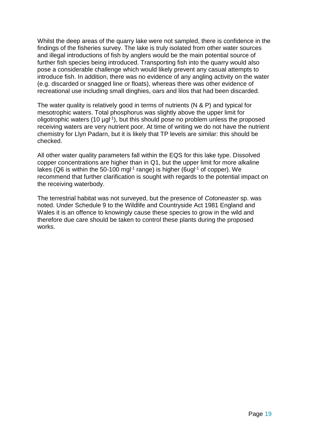Whilst the deep areas of the quarry lake were not sampled, there is confidence in the findings of the fisheries survey. The lake is truly isolated from other water sources and illegal introductions of fish by anglers would be the main potential source of further fish species being introduced. Transporting fish into the quarry would also pose a considerable challenge which would likely prevent any casual attempts to introduce fish. In addition, there was no evidence of any angling activity on the water (e.g. discarded or snagged line or floats), whereas there was other evidence of recreational use including small dinghies, oars and lilos that had been discarded.

The water quality is relatively good in terms of nutrients (N & P) and typical for mesotrophic waters. Total phosphorus was slightly above the upper limit for oligotrophic waters (10 µgl<sup>-1</sup>), but this should pose no problem unless the proposed receiving waters are very nutrient poor. At time of writing we do not have the nutrient chemistry for Llyn Padarn, but it is likely that TP levels are similar: this should be checked.

All other water quality parameters fall within the EQS for this lake type. Dissolved copper concentrations are higher than in Q1, but the upper limit for more alkaline lakes (Q6 is within the 50-100 mgl<sup>-1</sup> range) is higher (6ugl<sup>-1</sup> of copper). We recommend that further clarification is sought with regards to the potential impact on the receiving waterbody.

The terrestrial habitat was not surveyed, but the presence of *Cotoneaster* sp. was noted. Under Schedule 9 to the Wildlife and Countryside Act 1981 England and Wales it is an offence to knowingly cause these species to grow in the wild and therefore due care should be taken to control these plants during the proposed works.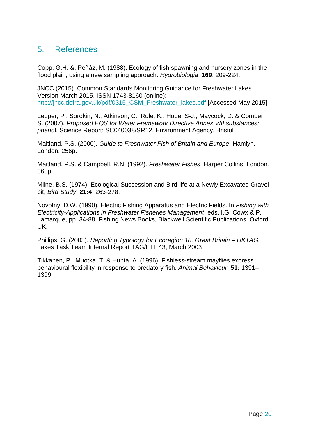## <span id="page-21-0"></span>5. References

Copp, G.H. &, Peñáz, M. (1988). Ecology of fish spawning and nursery zones in the flood plain, using a new sampling approach. *Hydrobiologia*, **169**: 209-224.

JNCC (2015). Common Standards Monitoring Guidance for Freshwater Lakes. Version March 2015. ISSN 1743-8160 (online): http://jncc.defra.gov.uk/pdf/0315 CSM\_Freshwater\_lakes.pdf [Accessed May 2015]

Lepper, P., Sorokin, N., Atkinson, C., Rule, K., Hope, S-J., Maycock, D. & Comber, S. (2007). *Proposed EQS for Water Framework Directive Annex VIII substances: pheno*l. Science Report: SC040038/SR12. Environment Agency, Bristol

Maitland, P.S. (2000). *Guide to Freshwater Fish of Britain and Europe*. Hamlyn, London. 256p.

Maitland, P.S. & Campbell, R.N. (1992). *Freshwater Fishes*. Harper Collins, London. 368p.

Milne, B.S. (1974). Ecological Succession and Bird-life at a Newly Excavated Gravelpit, *Bird Study*, **21:4**, 263-278.

Novotny, D.W. (1990). Electric Fishing Apparatus and Electric Fields. In *Fishing with Electricity-Applications in Freshwater Fisheries Management*, eds. I.G. Cowx & P. Lamarque, pp. 34-88. Fishing News Books, Blackwell Scientific Publications, Oxford, UK.

Phillips, G. (2003). *Reporting Typology for Ecoregion 18, Great Britain – UKTAG.*  Lakes Task Team Internal Report TAG/LTT 43, March 2003

Tikkanen, P., Muotka, T. & Huhta, A. (1996). Fishless-stream mayflies express behavioural flexibility in response to predatory fish. *Animal Behaviour*, **51:** 1391– 1399.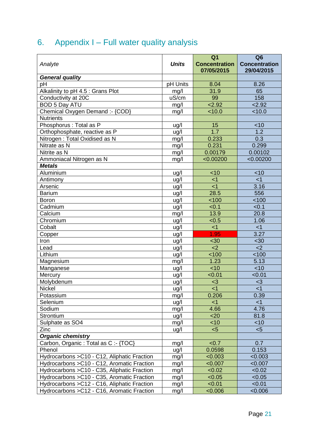# <span id="page-22-0"></span>6. Appendix I – Full water quality analysis

|                                              |              | Q <sub>1</sub>       | Q <sub>6</sub>       |
|----------------------------------------------|--------------|----------------------|----------------------|
| Analyte                                      | <b>Units</b> | <b>Concentration</b> | <b>Concentration</b> |
|                                              |              | 07/05/2015           | 29/04/2015           |
| <b>General quality</b>                       |              |                      |                      |
| рH                                           | pH Units     | 8.04                 | 8.26                 |
| Alkalinity to pH 4.5 : Grans Plot            | mg/l         | 31.9                 | 65                   |
| Conductivity at 20C                          | uS/cm        | 99                   | 158                  |
| <b>BOD 5 Day ATU</b>                         | mg/l         | 2.92                 | 2.92                 |
| Chemical Oxygen Demand :- {COD}              | mg/l         | 10.0                 | < 10.0               |
| <b>Nutrients</b>                             |              |                      |                      |
| Phosphorus : Total as P                      | ug/l         | 15                   | $<$ 10               |
| Orthophosphate, reactive as P                | ug/l         | $\overline{1.7}$     | 1.2                  |
| Nitrogen: Total Oxidised as N                | mg/l         | 0.233                | 0.3                  |
| Nitrate as N                                 | mg/l         | 0.231                | 0.299                |
| Nitrite as N                                 | mg/l         | 0.00179              | 0.00102              |
| Ammoniacal Nitrogen as N                     | mg/l         | < 0.00200            | < 0.00200            |
| <b>Metals</b>                                |              |                      |                      |
| Aluminium                                    | uq/l         | < 10                 | < 10                 |
| Antimony                                     | ug/l         | $\leq$ 1             | $<$ 1                |
| Arsenic                                      | ug/l         | $<$ 1                | 3.16                 |
| <b>Barium</b>                                | ug/l         | 28.5                 | 556                  |
| <b>Boron</b>                                 | ug/l         | 100                  | 100                  |
| Cadmium                                      | ug/l         | < 0.1                | < 0.1                |
| Calcium                                      | mg/l         | 13.9                 | 20.8                 |
| Chromium                                     | ug/l         | < 0.5                | 1.06                 |
| Cobalt                                       | ug/l         | $<$ 1                | $<$ 1                |
| Copper                                       | ug/l         | 1.95                 | 3.27                 |
| Iron                                         | ug/l         | <30                  | <30                  |
| Lead                                         | ug/l         | $2$                  | $2$                  |
| Lithium                                      | ug/l         | 100                  | 100                  |
| Magnesium                                    | mg/l         | 1.23                 | 5.13                 |
| Manganese                                    | ug/l         | $<$ 10               | $<$ 10               |
| Mercury                                      | ug/l         | < 0.01               | < 0.01               |
| Molybdenum                                   | ug/l         | $3$                  | $3$                  |
| <b>Nickel</b>                                | ug/l         | $<$ 1                | $<$ 1                |
| Potassium                                    | mg/l         | 0.206                | 0.39                 |
| Selenium                                     | ug/l         | $<$ 1                | $<$ 1                |
| Sodium                                       | mg/l         | 4.66                 | 4.76                 |
| <b>Strontium</b>                             | ug/l         | $20$                 | 81.8                 |
| Sulphate as SO4                              | mg/l         | <10                  | <10                  |
| Zinc                                         | ug/l         | < 5                  | < 5                  |
| <b>Organic chemistry</b>                     |              |                      |                      |
| Carbon, Organic: Total as C:-{TOC}           | mg/l         | < 0.7                | 0.7                  |
| Phenol                                       | ug/l         | 0.0598               | 0.153                |
| Hydrocarbons > C10 - C12, Aliphatic Fraction | mg/l         | < 0.003              | < 0.003              |
| Hydrocarbons > C10 - C12, Aromatic Fraction  | mg/l         | < 0.007              | < 0.007              |
| Hydrocarbons > C10 - C35, Aliphatic Fraction | mg/l         | < 0.02               | < 0.02               |
| Hydrocarbons > C10 - C35, Aromatic Fraction  | mg/l         | < 0.05               | < 0.05               |
| Hydrocarbons > C12 - C16, Aliphatic Fraction | mg/l         | < 0.01               | < 0.01               |
| Hydrocarbons > C12 - C16, Aromatic Fraction  | mg/l         | < 0.006              | < 0.006              |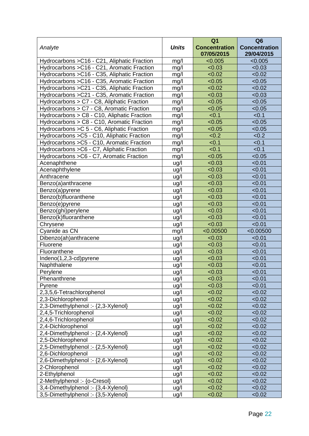|                                              |              | Q <sub>1</sub>                     | Q <sub>6</sub>                     |
|----------------------------------------------|--------------|------------------------------------|------------------------------------|
| Analyte                                      | <b>Units</b> | <b>Concentration</b><br>07/05/2015 | <b>Concentration</b><br>29/04/2015 |
| Hydrocarbons > C16 - C21, Aliphatic Fraction | mg/l         | < 0.005                            | < 0.005                            |
| Hydrocarbons > C16 - C21, Aromatic Fraction  | mg/l         | < 0.03                             | < 0.03                             |
| Hydrocarbons > C16 - C35, Aliphatic Fraction | mg/l         | < 0.02                             | < 0.02                             |
| Hydrocarbons > C16 - C35, Aromatic Fraction  | mg/l         | < 0.05                             | < 0.05                             |
| Hydrocarbons > C21 - C35, Aliphatic Fraction | mg/l         | < 0.02                             | < 0.02                             |
| Hydrocarbons > C21 - C35, Aromatic Fraction  | mg/l         | < 0.03                             | < 0.03                             |
| Hydrocarbons > C7 - C8, Aliphatic Fraction   | mg/l         | < 0.05                             | < 0.05                             |
| Hydrocarbons > C7 - C8, Aromatic Fraction    | mg/l         | < 0.05                             | < 0.05                             |
| Hydrocarbons > C8 - C10, Aliphatic Fraction  | mg/l         | < 0.1                              | < 0.1                              |
| Hydrocarbons > C8 - C10, Aromatic Fraction   | mg/l         | < 0.05                             | < 0.05                             |
| Hydrocarbons > C 5 - C6, Aliphatic Fraction  | mg/l         | < 0.05                             | < 0.05                             |
| Hydrocarbons > C5 - C10, Aliphatic Fraction  | mg/l         | <0.2                               | < 0.2                              |
| Hydrocarbons > C5 - C10, Aromatic Fraction   | mg/l         | < 0.1                              | < 0.1                              |
| Hydrocarbons > C6 - C7, Aliphatic Fraction   | mg/l         | < 0.1                              | < 0.1                              |
| Hydrocarbons > C6 - C7, Aromatic Fraction    | mg/l         | < 0.05                             | < 0.05                             |
| Acenaphthene                                 | ug/l         | < 0.03                             | < 0.01                             |
| Acenaphthylene                               | ug/l         | < 0.03                             | < 0.01                             |
| Anthracene                                   | ug/l         | < 0.03                             | < 0.01                             |
| Benzo(a)anthracene                           | ug/l         | < 0.03                             | < 0.01                             |
| Benzo(a)pyrene                               | ug/l         | < 0.03                             | < 0.01                             |
| Benzo(b)fluoranthene                         | ug/l         | < 0.03                             | < 0.01                             |
| Benzo(e)pyrene                               | ug/l         | < 0.03                             | < 0.01                             |
| Benzo(ghi)perylene                           | ug/l         | < 0.03                             | < 0.01                             |
| Benzo(k)fluoranthene                         | ug/l         | < 0.03                             | < 0.01                             |
| Chrysene                                     | ug/l         | < 0.03                             | < 0.01                             |
| Cyanide as CN                                | mg/l         | < 0.00500                          | < 0.00500                          |
| Dibenzo(ah)anthracene                        | ug/l         | < 0.03                             | < 0.01                             |
| Fluorene                                     | ug/l         | < 0.03                             | < 0.01                             |
| Fluoranthene                                 | ug/l         | < 0.03                             | < 0.01                             |
| Indeno(1,2,3-cd)pyrene                       | ug/l         | < 0.03                             | < 0.01                             |
| Naphthalene                                  | ug/l         | < 0.03                             | < 0.01                             |
| Perylene                                     | ug/l         | < 0.03                             | < 0.01                             |
| Phenanthrene                                 | ug/l         | < 0.03                             | < 0.01                             |
| Pyrene                                       | ug/l         | < 0.03                             | < 0.01                             |
| 2,3,5,6-Tetrachlorophenol                    | ug/l         | < 0.02                             | < 0.02                             |
| 2,3-Dichlorophenol                           | ug/l         | < 0.02                             | < 0.02                             |
| 2,3-Dimethylphenol :- {2,3-Xylenol}          | ug/l         | < 0.02                             | < 0.02                             |
| 2,4,5-Trichlorophenol                        | ug/l         | < 0.02                             | < 0.02                             |
| 2,4,6-Trichlorophenol                        | ug/l         | < 0.02                             | < 0.02                             |
| 2,4-Dichlorophenol                           | ug/l         | < 0.02                             | < 0.02                             |
| 2,4-Dimethylphenol :- {2,4-Xylenol}          | ug/l         | < 0.02                             | < 0.02                             |
| 2,5-Dichlorophenol                           | ug/l         | < 0.02                             | < 0.02                             |
| 2,5-Dimethylphenol :- {2,5-Xylenol}          | ug/l         | < 0.02                             | < 0.02                             |
| 2,6-Dichlorophenol                           | ug/l         | < 0.02                             | < 0.02                             |
| 2,6-Dimethylphenol :- {2,6-Xylenol}          | ug/l         | < 0.02                             | < 0.02                             |
| 2-Chlorophenol                               | ug/l         | < 0.02                             | < 0.02                             |
| 2-Ethylphenol                                | ug/l         | < 0.02                             | < 0.02                             |
| 2-Methylphenol :- {o-Cresol}                 | ug/l         | < 0.02                             | < 0.02                             |
| 3,4-Dimethylphenol :- {3,4-Xylenol}          | ug/l         | < 0.02                             | < 0.02                             |
| 3,5-Dimethylphenol :- {3,5-Xylenol}          | ug/l         | < 0.02                             | < 0.02                             |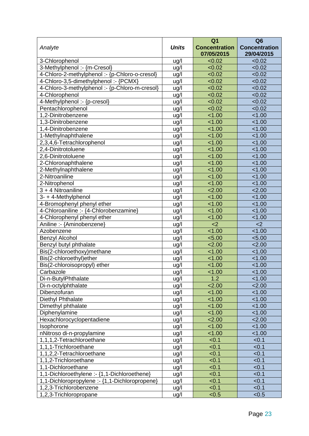|                                                |                     | Q <sub>1</sub>                     | Q <sub>6</sub>                     |
|------------------------------------------------|---------------------|------------------------------------|------------------------------------|
| Analyte                                        | <b>Units</b>        | <b>Concentration</b><br>07/05/2015 | <b>Concentration</b><br>29/04/2015 |
| 3-Chlorophenol                                 | ug/l                | < 0.02                             | < 0.02                             |
| 3-Methylphenol :- {m-Cresol}                   | ug/l                | < 0.02                             | < 0.02                             |
| 4-Chloro-2-methylphenol :- {p-Chloro-o-cresol} | ug/l                | < 0.02                             | < 0.02                             |
| 4-Chloro-3,5-dimethylphenol: - {PCMX}          | ug/l                | < 0.02                             | < 0.02                             |
| 4-Chloro-3-methylphenol :- {p-Chloro-m-cresol} | ug/l                | < 0.02                             | < 0.02                             |
| 4-Chlorophenol                                 | ug/l                | < 0.02                             | < 0.02                             |
| 4-Methylphenol :- {p-cresol}                   | ug/l                | < 0.02                             | < 0.02                             |
| Pentachlorophenol                              | $\underline{u}$ g/l | < 0.02                             | < 0.02                             |
| 1,2-Dinitrobenzene                             | ug/l                | 1.00                               | < 1.00                             |
| 1,3-Dinitrobenzene                             | ug/l                | 1.00                               | < 1.00                             |
| 1,4-Dinitrobenzene                             | ug/l                | 1.00                               | < 1.00                             |
| 1-Methylnaphthalene                            | ug/l                | 1.00                               | < 1.00                             |
| 2,3,4,6-Tetrachlorophenol                      | ug/l                | 1.00                               | < 1.00                             |
| 2,4-Dinitrotoluene                             | ug/l                | 1.00                               | < 1.00                             |
| 2,6-Dinitrotoluene                             | ug/l                | 1.00                               | < 1.00                             |
| 2-Chloronaphthalene                            | ug/l                | 1.00                               | < 1.00                             |
| 2-Methylnaphthalene                            | ug/l                | 1.00                               | < 1.00                             |
| 2-Nitroaniline                                 | ug/l                | 1.00                               | < 1.00                             |
| 2-Nitrophenol                                  | ug/l                | < 1.00                             | < 1.00                             |
| 3 + 4 Nitroaniline                             | ug/l                | 2.00                               | 2.00                               |
| 3- + 4-Methylphenol                            | ug/l                | 1.00                               | < 1.00                             |
| 4-Bromophenyl phenyl ether                     | ug/l                | 1.00                               | < 1.00                             |
| 4-Chloroaniline :- {4-Chlorobenzamine}         | ug/l                | 1.00                               | < 1.00                             |
| 4-Chlorophenyl phenyl ether                    | ug/l                | < 1.00                             | < 1.00                             |
| Aniline :- {Aminobenzene}                      | ug/l                | $2$                                | <                                  |
| Azobenzene                                     | ug/l                | 1.00                               | < 1.00                             |
| <b>Benzyl Alcohol</b>                          | ug/l                | < 5.00                             | < 5.00                             |
| Benzyl butyl phthalate                         | ug/l                | 2.00                               | 2.00                               |
| Bis(2-chloroethoxy)methane                     | ug/l                | < 1.00                             | < 1.00                             |
| Bis(2-chloroethyl)ether                        | ug/l                | < 1.00                             | < 1.00                             |
| Bis(2-chloroisopropyl) ether                   | ug/l                | < 1.00                             | < 1.00                             |
| Carbazole                                      | ug/l                | 1.00                               | < 1.00                             |
| Di-n-ButylPhthalate                            | ug/l                | 1.2                                | 1.00                               |
| Di-n-octylphthalate                            | ug/l                | 2.00                               | 2.00                               |
| Dibenzofuran                                   | ug/l                | 1.00                               | < 1.00                             |
| Diethyl Phthalate                              | ug/l                | 1.00                               | < 1.00                             |
| Dimethyl phthalate                             | ug/l                | < 1.00                             | < 1.00                             |
| Diphenylamine                                  | ug/l                | 1.00                               | < 1.00                             |
| Hexachlorocyclopentadiene                      | ug/l                | 2.00                               | 2.00                               |
| Isophorone                                     | ug/l                | 1.00                               | 1.00                               |
| nNitroso di-n-propylamine                      | ug/l                | 1.00                               | < 1.00                             |
| 1,1,1,2-Tetrachloroethane                      | ug/l                | < 0.1                              | < 0.1                              |
| 1,1,1-Trichloroethane                          | ug/l                | < 0.1                              | < 0.1                              |
| 1,1,2,2-Tetrachloroethane                      | ug/l                | < 0.1                              | < 0.1                              |
| 1,1,2-Trichloroethane                          | ug/l                | < 0.1                              | < 0.1                              |
| 1,1-Dichloroethane                             | ug/l                | < 0.1                              | < 0.1                              |
| 1,1-Dichloroethylene :- {1,1-Dichloroethene}   | ug/l                | < 0.1                              | < 0.1                              |
| 1,1-Dichloropropylene :- {1,1-Dichloropropene} | ug/l                | < 0.1                              | < 0.1                              |
| 1,2,3-Trichlorobenzene                         | ug/l                | < 0.1                              | < 0.1                              |
| 1,2,3-Trichloropropane                         | ug/l                | < 0.5                              | < 0.5                              |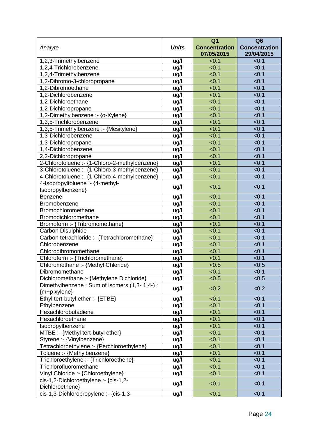| Analyte                                                  | <b>Units</b>        | Q <sub>1</sub><br><b>Concentration</b><br>07/05/2015 | Q <sub>6</sub><br><b>Concentration</b><br>29/04/2015 |
|----------------------------------------------------------|---------------------|------------------------------------------------------|------------------------------------------------------|
| 1,2,3-Trimethylbenzene                                   | ug/l                | < 0.1                                                | < 0.1                                                |
| 1,2,4-Trichlorobenzene                                   | ug/l                | < 0.1                                                | < 0.1                                                |
| 1,2,4-Trimethylbenzene                                   | ug/l                | < 0.1                                                | < 0.1                                                |
| 1,2-Dibromo-3-chloropropane                              | ug/l                | < 0.1                                                | < 0.1                                                |
| 1,2-Dibromoethane                                        | ug/l                | < 0.1                                                | < 0.1                                                |
| 1,2-Dichlorobenzene                                      | ug/l                | < 0.1                                                | < 0.1                                                |
| 1,2-Dichloroethane                                       | $\underline{u}$ g/l | < 0.1                                                | < 0.1                                                |
| 1,2-Dichloropropane                                      | ug/l                | < 0.1                                                | < 0.1                                                |
| 1,2-Dimethylbenzene :- {o-Xylene}                        | ug/l                | < 0.1                                                | < 0.1                                                |
| 1,3,5-Trichlorobenzene                                   | ug/l                | < 0.1                                                | < 0.1                                                |
| 1,3,5-Trimethylbenzene :- {Mesitylene}                   | ug/l                | < 0.1                                                | < 0.1                                                |
| 1,3-Dichlorobenzene                                      | ug/l                | < 0.1                                                | < 0.1                                                |
| 1,3-Dichloropropane                                      | ug/l                | < 0.1                                                | < 0.1                                                |
| 1,4-Dichlorobenzene                                      | ug/l                | < 0.1                                                | < 0.1                                                |
| 2,2-Dichloropropane                                      | ug/l                | < 0.1                                                | < 0.1                                                |
| 2-Chlorotoluene :- {1-Chloro-2-methylbenzene}            | ug/l                | < 0.1                                                | < 0.1                                                |
| 3-Chlorotoluene :- {1-Chloro-3-methylbenzene}            | ug/l                | < 0.1                                                | < 0.1                                                |
| 4-Chlorotoluene :- {1-Chloro-4-methylbenzene}            | ug/l                | < 0.1                                                | < 0.1                                                |
| 4-Isopropyltoluene :- {4-methyl-<br>Isopropylbenzene}    | ug/l                | < 0.1                                                | < 0.1                                                |
| <b>Benzene</b>                                           | ug/l                | < 0.1                                                | < 0.1                                                |
| Bromobenzene                                             | ug/l                | < 0.1                                                | < 0.1                                                |
| Bromochloromethane                                       | ug/l                | < 0.1                                                | < 0.1                                                |
| Bromodichloromethane                                     | ug/l                | < 0.1                                                | < 0.1                                                |
| Bromoform :- {Tribromomethane}                           | ug/l                | < 0.1                                                | < 0.1                                                |
| Carbon Disulphide                                        | ug/l                | < 0.1                                                | < 0.1                                                |
| Carbon tetrachloride :- {Tetrachloromethane}             | ug/l                | < 0.1                                                | < 0.1                                                |
| Chlorobenzene                                            | $ug/l$              | < 0.1                                                | < 0.1                                                |
| Chlorodibromomethane                                     | ug/l                | < 0.1                                                | < 0.1                                                |
| Chloroform :- {Trichloromethane}                         | ug/l                | < 0.1                                                | < 0.1                                                |
| Chloromethane :- {Methyl Chloride}                       | ug/l                | < 0.5                                                | < 0.5                                                |
| Dibromomethane                                           | ug/l                | < 0.1                                                | < 0.1                                                |
| Dichloromethane :- {Methylene Dichloride}                | ug/l                | < 0.5                                                | < 0.5                                                |
| Dimethylbenzene: Sum of isomers (1,3-1,4-):              |                     |                                                      |                                                      |
| ${m+p xylene}$                                           | ug/l                | < 0.2                                                | < 0.2                                                |
| Ethyl tert-butyl ether :- {ETBE}                         | ug/l                | < 0.1                                                | < 0.1                                                |
| Ethylbenzene                                             | ug/l                | < 0.1                                                | < 0.1                                                |
| Hexachlorobutadiene                                      | ug/l                | < 0.1                                                | < 0.1                                                |
| Hexachloroethane                                         | ug/l                | < 0.1                                                | < 0.1                                                |
| Isopropylbenzene                                         | ug/l                | < 0.1                                                | < 0.1                                                |
| MTBE :- {Methyl tert-butyl ether}                        | ug/l                | < 0.1                                                | < 0.1                                                |
| Styrene :- {Vinylbenzene}                                | ug/l                | < 0.1                                                | < 0.1                                                |
| Tetrachloroethylene :- {Perchloroethylene}               | ug/l                | < 0.1                                                | < 0.1                                                |
| Toluene :- {Methylbenzene}                               | ug/l                | < 0.1                                                | < 0.1                                                |
| Trichloroethylene :- {Trichloroethene}                   | ug/l                | < 0.1                                                | < 0.1                                                |
| Trichlorofluoromethane                                   | ug/l                | < 0.1                                                | < 0.1                                                |
| Vinyl Chloride :- {Chloroethylene}                       | ug/l                | < 0.1                                                | < 0.1                                                |
| cis-1,2-Dichloroethylene :- {cis-1,2-<br>Dichloroethene} | ug/l                | < 0.1                                                | < 0.1                                                |
| cis-1,3-Dichloropropylene :- {cis-1,3-                   | ug/l                | < 0.1                                                | < 0.1                                                |